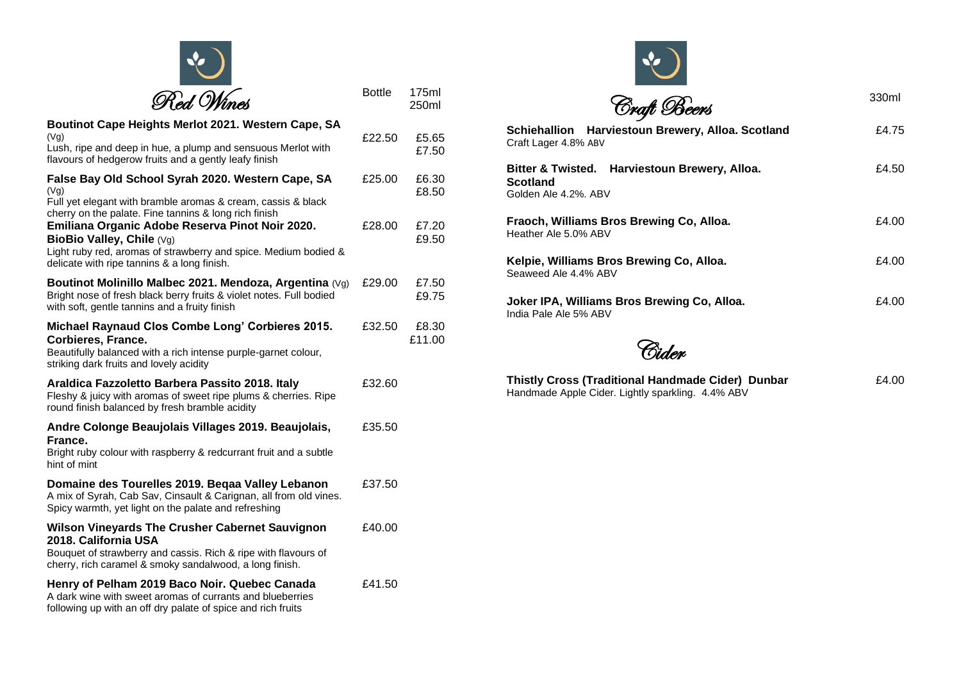| Red Wines                                                                                                                                                                                      | <b>Bottle</b> | 175ml<br>250ml  |
|------------------------------------------------------------------------------------------------------------------------------------------------------------------------------------------------|---------------|-----------------|
| Boutinot Cape Heights Merlot 2021. Western Cape, SA<br>(Vg)<br>Lush, ripe and deep in hue, a plump and sensuous Merlot with<br>flavours of hedgerow fruits and a gently leafy finish           | £22.50        | £5.65<br>£7.50  |
| False Bay Old School Syrah 2020. Western Cape, SA<br>(Vg)<br>Full yet elegant with bramble aromas & cream, cassis & black<br>cherry on the palate. Fine tannins & long rich finish             | £25.00        | £6.30<br>£8.50  |
| Emiliana Organic Adobe Reserva Pinot Noir 2020.<br>BioBio Valley, Chile (Vg)<br>Light ruby red, aromas of strawberry and spice. Medium bodied &<br>delicate with ripe tannins & a long finish. | £28.00        | £7.20<br>£9.50  |
| Boutinot Molinillo Malbec 2021. Mendoza, Argentina $(Vg)$<br>Bright nose of fresh black berry fruits & violet notes. Full bodied<br>with soft, gentle tannins and a fruity finish              | £29.00        | £7.50<br>£9.75  |
| Michael Raynaud Clos Combe Long' Corbieres 2015.<br>Corbieres, France.<br>Beautifully balanced with a rich intense purple-garnet colour,<br>striking dark fruits and lovely acidity            | £32.50        | £8.30<br>£11.00 |
| Araldica Fazzoletto Barbera Passito 2018. Italy<br>Fleshy & juicy with aromas of sweet ripe plums & cherries. Ripe<br>round finish balanced by fresh bramble acidity                           | £32.60        |                 |
| Andre Colonge Beaujolais Villages 2019. Beaujolais,<br>France.<br>Bright ruby colour with raspberry & redcurrant fruit and a subtle<br>hint of mint                                            | £35.50        |                 |
| Domaine des Tourelles 2019. Beqaa Valley Lebanon<br>A mix of Syrah, Cab Sav, Cinsault & Carignan, all from old vines.<br>Spicy warmth, yet light on the palate and refreshing                  | £37.50        |                 |
| Wilson Vineyards The Crusher Cabernet Sauvignon<br>2018. California USA<br>Bouquet of strawberry and cassis. Rich & ripe with flavours of                                                      | £40.00        |                 |

cherry, rich caramel & smoky sandalwood, a long finish.

## **Henry of Pelham 2019 Baco Noir . Quebec Canada**  A dark wine with sweet aromas of currants and blueberries following up with an off dry palate of spice and rich fruits £4 1.50

| Craft Beers                                                                         | 330ml |
|-------------------------------------------------------------------------------------|-------|
| Harviestoun Brewery, Alloa. Scotland<br><b>Schiehallion</b><br>Craft Lager 4.8% ABV | £4.75 |
| Bitter & Twisted. Harviestoun Brewery, Alloa.<br>Scotland<br>Golden Ale 4.2%, ABV   | £4.50 |
| Fraoch, Williams Bros Brewing Co, Alloa.<br>Heather Ale 5.0% ABV                    | £4.00 |
| Kelpie, Williams Bros Brewing Co, Alloa.<br>Seaweed Ale 4.4% ABV                    | £4.00 |
| Joker IPA, Williams Bros Brewing Co, Alloa.<br>India Pale Ale 5% ABV                | £4.00 |



 $\mathbf{A}$ 

| Thistly Cross (Traditional Handmade Cider) Dunbar |  |
|---------------------------------------------------|--|
| Handmade Apple Cider. Lightly sparkling. 4.4% ABV |  |

£ 4 .00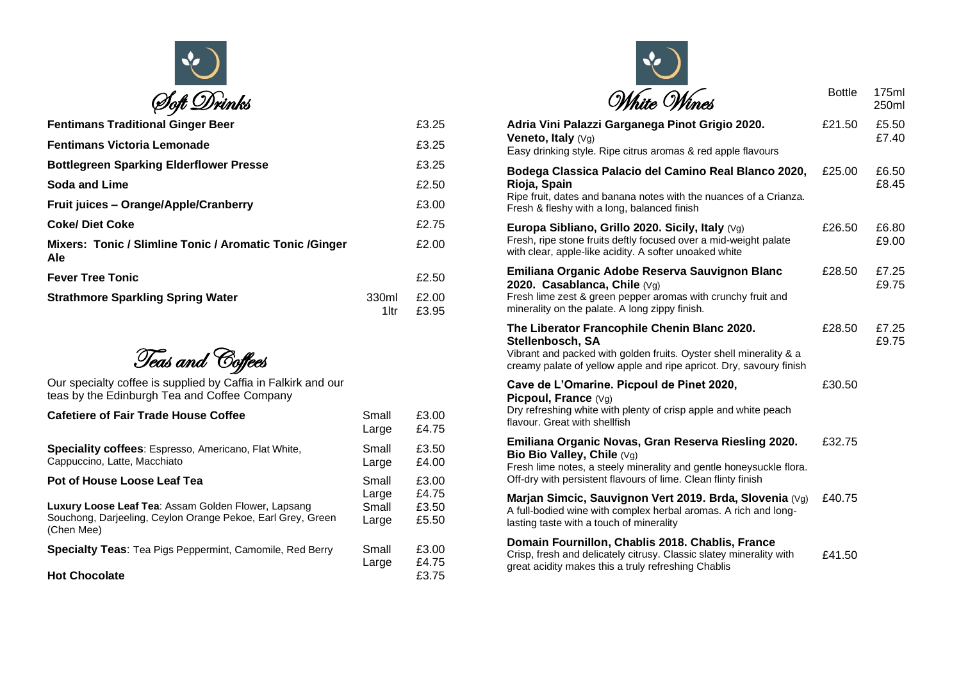

| <b>Fentimans Traditional Ginger Beer</b>                        |                | £3.25          |
|-----------------------------------------------------------------|----------------|----------------|
| <b>Fentimans Victoria Lemonade</b>                              |                | £3.25          |
| <b>Bottlegreen Sparking Elderflower Presse</b>                  |                | £3.25          |
| Soda and Lime                                                   |                | £2.50          |
| Fruit juices - Orange/Apple/Cranberry                           |                | £3.00          |
| <b>Coke/Diet Coke</b>                                           |                | £2.75          |
| Mixers: Tonic / Slimline Tonic / Aromatic Tonic / Ginger<br>Ale |                | £2.00          |
| <b>Fever Tree Tonic</b>                                         |                | £2.50          |
| <b>Strathmore Sparkling Spring Water</b>                        | 330ml<br>1 Itr | £2.00<br>£3.95 |

Teas and Coffees

Our specialty coffee is supplied by Caffia in Falkirk and our teas by the Edinburgh Tea and Coffee Company

| <b>Cafetiere of Fair Trade House Coffee</b>                                                                                      | Small<br>Large | £3.00<br>£4.75 |
|----------------------------------------------------------------------------------------------------------------------------------|----------------|----------------|
| <b>Speciality coffees:</b> Espresso, Americano, Flat White,<br>Cappuccino, Latte, Macchiato                                      | Small<br>Large | £3.50<br>£4.00 |
| Pot of House Loose Leaf Tea                                                                                                      | Small<br>Large | £3.00<br>£4.75 |
| Luxury Loose Leaf Tea: Assam Golden Flower, Lapsang<br>Souchong, Darjeeling, Ceylon Orange Pekoe, Earl Grey, Green<br>(Chen Mee) | Small<br>Large | £3.50<br>£5.50 |
| Specialty Teas: Tea Pigs Peppermint, Camomile, Red Berry                                                                         | Small<br>Large | £3.00<br>£4.75 |
| <b>Hot Chocolate</b>                                                                                                             |                | £3.75          |

| ste. Wines                                                                                                                                                                                                                | <b>Bottle</b> | 175ml<br>250ml |
|---------------------------------------------------------------------------------------------------------------------------------------------------------------------------------------------------------------------------|---------------|----------------|
| Adria Vini Palazzi Garganega Pinot Grigio 2020.<br>Veneto, Italy (Vg)<br>Easy drinking style. Ripe citrus aromas & red apple flavours                                                                                     | £21.50        | £5.50<br>£7.40 |
| Bodega Classica Palacio del Camino Real Blanco 2020,<br>Rioja, Spain<br>Ripe fruit, dates and banana notes with the nuances of a Crianza.<br>Fresh & fleshy with a long, balanced finish                                  | £25.00        | £6.50<br>£8.45 |
| Europa Sibliano, Grillo 2020. Sicily, Italy $(Vg)$<br>Fresh, ripe stone fruits deftly focused over a mid-weight palate<br>with clear, apple-like acidity. A softer unoaked white                                          | £26.50        | £6.80<br>£9.00 |
| Emiliana Organic Adobe Reserva Sauvignon Blanc<br>2020. Casablanca, Chile (Vg)<br>Fresh lime zest & green pepper aromas with crunchy fruit and<br>minerality on the palate. A long zippy finish.                          | £28.50        | £7.25<br>£9.75 |
| The Liberator Francophile Chenin Blanc 2020.<br>Stellenbosch, SA<br>Vibrant and packed with golden fruits. Oyster shell minerality & a<br>creamy palate of yellow apple and ripe apricot. Dry, savoury finish             | £28.50        | £7.25<br>£9.75 |
| Cave de L'Omarine. Picpoul de Pinet 2020,<br>Picpoul, France $(Vq)$<br>Dry refreshing white with plenty of crisp apple and white peach<br>flavour. Great with shellfish                                                   | £30.50        |                |
| Emiliana Organic Novas, Gran Reserva Riesling 2020.<br>Bio Bio Valley, Chile (Vg)<br>Fresh lime notes, a steely minerality and gentle honeysuckle flora.<br>Off-dry with persistent flavours of lime. Clean flinty finish | £32.75        |                |
| Marjan Simcic, Sauvignon Vert 2019. Brda, Slovenia (Vg)<br>A full-bodied wine with complex herbal aromas. A rich and long-<br>lasting taste with a touch of minerality                                                    | £40.75        |                |
| Domain Fournillon, Chablis 2018. Chablis, France<br>Crisp, fresh and delicately citrusy. Classic slatey minerality with<br>great acidity makes this a truly refreshing Chablis                                            | £41.50        |                |
|                                                                                                                                                                                                                           |               |                |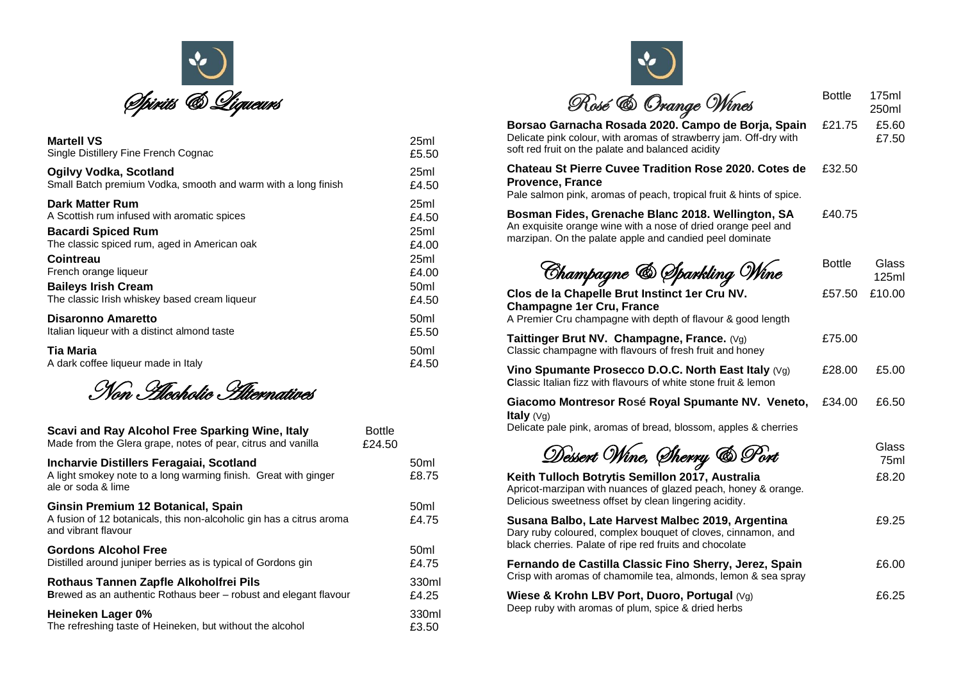

| <b>Martell VS</b>                                             | 25ml             |
|---------------------------------------------------------------|------------------|
| Single Distillery Fine French Cognac                          | £5.50            |
| Ogilvy Vodka, Scotland                                        | 25ml             |
| Small Batch premium Vodka, smooth and warm with a long finish | £4.50            |
| Dark Matter Rum                                               | 25ml             |
| A Scottish rum infused with aromatic spices                   | £4.50            |
| <b>Bacardi Spiced Rum</b>                                     | 25ml             |
| The classic spiced rum, aged in American oak                  | £4.00            |
| Cointreau                                                     | 25ml             |
| French orange liqueur                                         | £4.00            |
| <b>Baileys Irish Cream</b>                                    | 50 <sub>ml</sub> |
| The classic Irish whiskey based cream liqueur                 | £4.50            |
| Disaronno Amaretto                                            | 50 <sub>ml</sub> |
| Italian liqueur with a distinct almond taste                  | £5.50            |
| Tia Maria                                                     | 50 <sub>ml</sub> |
| A dark coffee liqueur made in Italy                           | £4.50            |

Non Alcoholic Alternatives

| Scavi and Ray Alcohol Free Sparking Wine, Italy<br>Made from the Glera grape, notes of pear, citrus and vanilla                   | <b>Bottle</b><br>£24.50 |                           |
|-----------------------------------------------------------------------------------------------------------------------------------|-------------------------|---------------------------|
| Incharvie Distillers Feragaiai, Scotland<br>A light smokey note to a long warming finish. Great with ginger<br>ale or soda & lime |                         | 50 <sub>ml</sub><br>£8.75 |
| Ginsin Premium 12 Botanical, Spain<br>A fusion of 12 botanicals, this non-alcoholic gin has a citrus aroma<br>and vibrant flavour |                         | 50 <sub>ml</sub><br>£4.75 |
| <b>Gordons Alcohol Free</b><br>Distilled around juniper berries as is typical of Gordons gin                                      |                         | 50 <sub>ml</sub><br>£4.75 |
| Rothaus Tannen Zapfle Alkoholfrei Pils<br><b>Brewed as an authentic Rothaus beer – robust and elegant flavour</b>                 |                         | 330ml<br>£4.25            |
| Heineken Lager 0%<br>The refreshing taste of Heineken, but without the alcohol                                                    |                         | 330ml<br>£3.50            |

| Rosé & Orange Wines                                                                                                                                                           | <b>Bottle</b> | 175ml<br>250ml |
|-------------------------------------------------------------------------------------------------------------------------------------------------------------------------------|---------------|----------------|
| Borsao Garnacha Rosada 2020. Campo de Borja, Spain<br>Delicate pink colour, with aromas of strawberry jam. Off-dry with<br>soft red fruit on the palate and balanced acidity  | £21.75        | £5.60<br>£7.50 |
| Chateau St Pierre Cuvee Tradition Rose 2020. Cotes de<br><b>Provence, France</b><br>Pale salmon pink, aromas of peach, tropical fruit & hints of spice.                       | £32.50        |                |
| Bosman Fides, Grenache Blanc 2018. Wellington, SA<br>An exquisite orange wine with a nose of dried orange peel and<br>marzipan. On the palate apple and candied peel dominate | £40.75        |                |
| Champagne & Sparkling Wine                                                                                                                                                    | <b>Bottle</b> | Glass<br>125ml |
| Clos de la Chapelle Brut Instinct 1er Cru NV.<br><b>Champagne 1er Cru, France</b><br>A Premier Cru champagne with depth of flavour & good length                              | £57.50        | £10.00         |
| Taittinger Brut NV. Champagne, France. (Vg)<br>Classic champagne with flavours of fresh fruit and honey                                                                       | £75.00        |                |
| Vino Spumante Prosecco D.O.C. North East Italy $(Vg)$<br><b>Classic Italian fizz with flavours of white stone fruit &amp; lemon</b>                                           | £28.00        | £5.00          |
| Giacomo Montresor Rosé Royal Spumante NV. Veneto,<br><b>Italy</b> $(Vg)$<br>Delicate pale pink, aromas of bread, blossom, apples & cherries                                   | £34.00        | £6.50          |
| Dessert Wine, Sherry & Port                                                                                                                                                   |               | Glass<br>75ml  |
| Keith Tulloch Botrytis Semillon 2017, Australia<br>Apricot-marzipan with nuances of glazed peach, honey & orange.<br>Delicious sweetness offset by clean lingering acidity.   |               | £8.20          |
| Susana Balbo, Late Harvest Malbec 2019, Argentina<br>Dary ruby coloured, complex bouquet of cloves, cinnamon, and<br>black cherries. Palate of ripe red fruits and chocolate  |               | £9.25          |
| Fernando de Castilla Classic Fino Sherry, Jerez, Spain<br>Crisp with aromas of chamomile tea, almonds, lemon & sea spray                                                      |               | £6.00          |
| Wiese & Krohn LBV Port, Duoro, Portugal (Vg)<br>Deep ruby with aromas of plum, spice & dried herbs                                                                            |               | £6.25          |
|                                                                                                                                                                               |               |                |